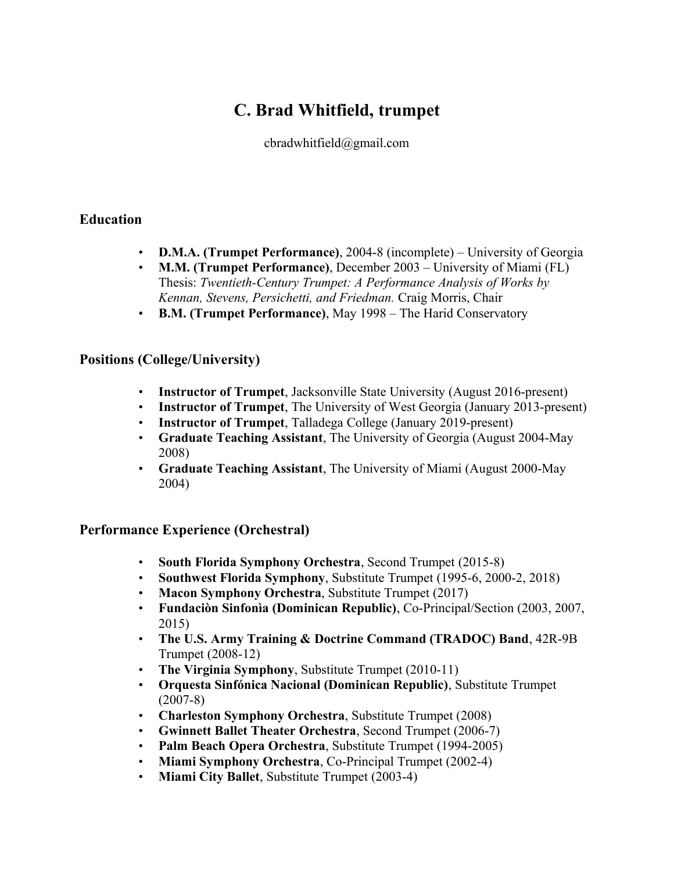# **C. Brad Whitfield, trumpet**

cbradwhitfield@gmail.com

## **Education**

- **D.M.A. (Trumpet Performance)**, 2004-8 (incomplete) University of Georgia
- **M.M. (Trumpet Performance)**, December 2003 University of Miami (FL) Thesis: *Twentieth-Century Trumpet: A Performance Analysis of Works by Kennan, Stevens, Persichetti, and Friedman.* Craig Morris, Chair
- **B.M. (Trumpet Performance)**, May 1998 The Harid Conservatory

## **Positions (College/University)**

- **Instructor of Trumpet**, Jacksonville State University (August 2016-present)
- **Instructor of Trumpet**, The University of West Georgia (January 2013-present)
- **Instructor of Trumpet**, Talladega College (January 2019-present)
- **Graduate Teaching Assistant**, The University of Georgia (August 2004-May 2008)
- **Graduate Teaching Assistant**, The University of Miami (August 2000-May 2004)

## **Performance Experience (Orchestral)**

- **South Florida Symphony Orchestra**, Second Trumpet (2015-8)
- **Southwest Florida Symphony**, Substitute Trumpet (1995-6, 2000-2, 2018)
- **Macon Symphony Orchestra, Substitute Trumpet (2017)**
- **Fundaciòn Sinfonìa (Dominican Republic)**, Co-Principal/Section (2003, 2007, 2015)
- **The U.S. Army Training & Doctrine Command (TRADOC) Band**, 42R-9B Trumpet (2008-12)
- **The Virginia Symphony**, Substitute Trumpet (2010-11)
- **Orquesta Sinfónica Nacional (Dominican Republic)**, Substitute Trumpet (2007-8)
- **Charleston Symphony Orchestra**, Substitute Trumpet (2008)
- **Gwinnett Ballet Theater Orchestra**, Second Trumpet (2006-7)
- **Palm Beach Opera Orchestra**, Substitute Trumpet (1994-2005)
- **Miami Symphony Orchestra**, Co-Principal Trumpet (2002-4)
- **Miami City Ballet**, Substitute Trumpet (2003-4)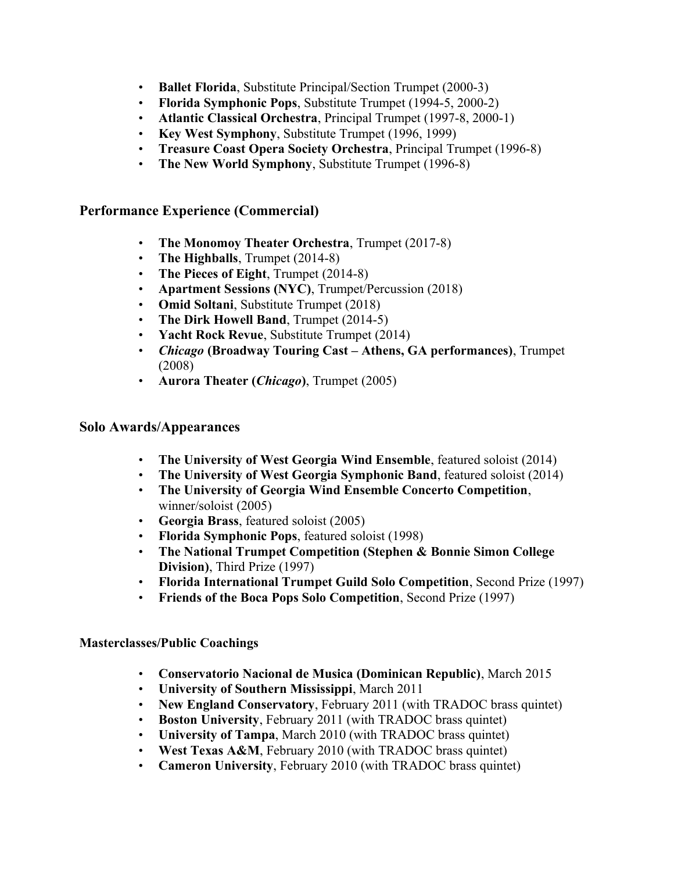- **Ballet Florida**, Substitute Principal/Section Trumpet (2000-3)
- **Florida Symphonic Pops**, Substitute Trumpet (1994-5, 2000-2)
- **Atlantic Classical Orchestra**, Principal Trumpet (1997-8, 2000-1)
- **Key West Symphony**, Substitute Trumpet (1996, 1999)
- **Treasure Coast Opera Society Orchestra**, Principal Trumpet (1996-8)
- **The New World Symphony**, Substitute Trumpet (1996-8)

### **Performance Experience (Commercial)**

- **The Monomoy Theater Orchestra**, Trumpet (2017-8)
- **The Highballs**, Trumpet (2014-8)
- **The Pieces of Eight**, Trumpet (2014-8)
- **Apartment Sessions (NYC)**, Trumpet/Percussion (2018)
- **Omid Soltani**, Substitute Trumpet (2018)
- **The Dirk Howell Band**, Trumpet (2014-5)
- **Yacht Rock Revue**, Substitute Trumpet (2014)
- *Chicago* **(Broadway Touring Cast Athens, GA performances)**, Trumpet (2008)
- **Aurora Theater (***Chicago***)**, Trumpet (2005)

### **Solo Awards/Appearances**

- **The University of West Georgia Wind Ensemble**, featured soloist (2014)
- **The University of West Georgia Symphonic Band**, featured soloist (2014)
- **The University of Georgia Wind Ensemble Concerto Competition**, winner/soloist (2005)
- **Georgia Brass**, featured soloist (2005)
- **Florida Symphonic Pops**, featured soloist (1998)
- **The National Trumpet Competition (Stephen & Bonnie Simon College Division)**, Third Prize (1997)
- **Florida International Trumpet Guild Solo Competition**, Second Prize (1997)
- **Friends of the Boca Pops Solo Competition**, Second Prize (1997)

#### **Masterclasses/Public Coachings**

- **Conservatorio Nacional de Musica (Dominican Republic)**, March 2015
- **University of Southern Mississippi**, March 2011
- **New England Conservatory**, February 2011 (with TRADOC brass quintet)
- **Boston University**, February 2011 (with TRADOC brass quintet)
- **University of Tampa**, March 2010 (with TRADOC brass quintet)
- **West Texas A&M**, February 2010 (with TRADOC brass quintet)
- **Cameron University**, February 2010 (with TRADOC brass quintet)